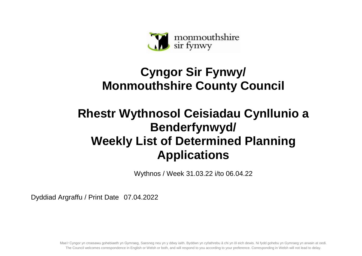

## **Cyngor Sir Fynwy/ Monmouthshire County Council**

## **Rhestr Wythnosol Ceisiadau Cynllunio a Benderfynwyd/ Weekly List of Determined Planning Applications**

Wythnos / Week 31.03.22 i/to 06.04.22

Dyddiad Argraffu / Print Date 07.04.2022

Mae'r Cyngor yn croesawu gohebiaeth yn Gymraeg, Saesneg neu yn y ddwy iaith. Byddwn yn cyfathrebu â chi yn ôl eich dewis. Ni fydd gohebu yn Gymraeg yn arwain at oedi. The Council welcomes correspondence in English or Welsh or both, and will respond to you according to your preference. Corresponding in Welsh will not lead to delay.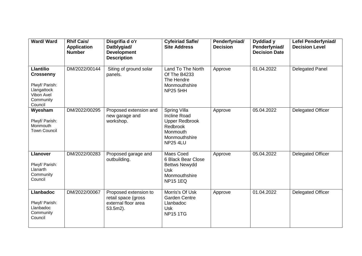| Ward/Ward                                                                                                   | <b>Rhif Cais/</b><br><b>Application</b><br><b>Number</b> | Disgrifia d o'r<br>Datblygiad/<br><b>Development</b><br><b>Description</b>      | <b>Cyfeiriad Safle/</b><br><b>Site Address</b>                                                                           | Penderfyniad/<br><b>Decision</b> | Dyddiad y<br>Penderfyniad/<br><b>Decision Date</b> | <b>Lefel Penderfyniad/</b><br><b>Decision Level</b> |
|-------------------------------------------------------------------------------------------------------------|----------------------------------------------------------|---------------------------------------------------------------------------------|--------------------------------------------------------------------------------------------------------------------------|----------------------------------|----------------------------------------------------|-----------------------------------------------------|
| <b>Llantilio</b><br><b>Crossenny</b><br>Plwyf/ Parish:<br>Llangattock<br>Vibon Avel<br>Community<br>Council | DM/2022/00144                                            | Siting of ground solar<br>panels.                                               | Land To The North<br>Of The B4233<br>The Hendre<br>Monmouthshire<br><b>NP25 5HH</b>                                      | Approve                          | 01.04.2022                                         | Delegated Panel                                     |
| Wyesham<br>Plwyf/ Parish:<br>Monmouth<br><b>Town Council</b>                                                | DM/2022/00295                                            | Proposed extension and<br>new garage and<br>workshop.                           | Spring Villa<br><b>Incline Road</b><br><b>Upper Redbrook</b><br>Redbrook<br>Monmouth<br>Monmouthshire<br><b>NP25 4LU</b> | Approve                          | 05.04.2022                                         | Delegated Officer                                   |
| <b>Llanover</b><br>Plwyf/ Parish:<br>Llanarth<br>Community<br>Council                                       | DM/2022/00283                                            | Proposed garage and<br>outbuilding.                                             | Maes Coed<br>6 Black Bear Close<br><b>Bettws Newydd</b><br><b>Usk</b><br>Monmouthshire<br><b>NP15 1EQ</b>                | Approve                          | 05.04.2022                                         | <b>Delegated Officer</b>                            |
| <b>Llanbadoc</b><br>Plwyf/ Parish:<br>Llanbadoc<br>Community<br>Council                                     | DM/2022/00067                                            | Proposed extension to<br>retail space (gross<br>external floor area<br>53.5m2). | Morris's Of Usk<br><b>Garden Centre</b><br>Llanbadoc<br><b>Usk</b><br><b>NP15 1TG</b>                                    | Approve                          | 01.04.2022                                         | Delegated Officer                                   |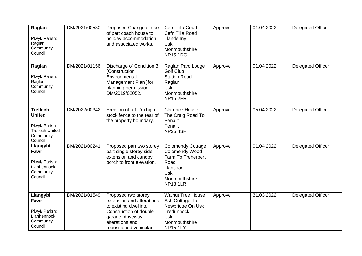| Raglan<br>Plwyf/ Parish:<br>Raglan<br>Community<br>Council                                           | DM/2021/00530 | Proposed Change of use<br>of part coach house to<br>holiday accommodation<br>and associated works.                                                                   | Cefn Tilla Court<br>Cefn Tilla Road<br>Llandenny<br><b>Usk</b><br>Monmouthshire<br><b>NP15 1DG</b>                                            | Approve | 01.04.2022 | <b>Delegated Officer</b> |
|------------------------------------------------------------------------------------------------------|---------------|----------------------------------------------------------------------------------------------------------------------------------------------------------------------|-----------------------------------------------------------------------------------------------------------------------------------------------|---------|------------|--------------------------|
| Raglan<br>Plwyf/ Parish:<br>Raglan<br>Community<br>Council                                           | DM/2021/01156 | Discharge of Condition 3<br>(Construction<br>Environmental<br>Management Plan )for<br>planning permission<br>DM/2019/02052.                                          | Raglan Parc Lodge<br><b>Golf Club</b><br><b>Station Road</b><br>Raglan<br><b>Usk</b><br>Monmouthshire<br><b>NP15 2ER</b>                      | Approve | 01.04.2022 | <b>Delegated Officer</b> |
| <b>Trellech</b><br><b>United</b><br>Plwyf/ Parish:<br><b>Trellech United</b><br>Community<br>Council | DM/2022/00342 | Erection of a 1.2m high<br>stock fence to the rear of<br>the property boundary.                                                                                      | <b>Clarence House</b><br>The Craig Road To<br>Penallt<br>Penallt<br><b>NP25 4SF</b>                                                           | Approve | 05.04.2022 | <b>Delegated Officer</b> |
| Llangybi<br>Fawr<br>Plwyf/ Parish:<br>Llanhennock<br>Community<br>Council                            | DM/2021/00241 | Proposed part two storey<br>part single storey side<br>extension and canopy<br>porch to front elevation.                                                             | <b>Colomendy Cottage</b><br><b>Colomendy Wood</b><br>Farm To Treherbert<br>Road<br>Llansoar<br><b>Usk</b><br>Monmouthshire<br><b>NP18 1LR</b> | Approve | 01.04.2022 | <b>Delegated Officer</b> |
| Llangybi<br>Fawr<br>Plwyf/ Parish:<br>Llanhennock<br>Community<br>Council                            | DM/2021/01549 | Proposed two storey<br>extension and alterations<br>to existing dwelling.<br>Construction of double<br>garage, driveway<br>alterations and<br>repositioned vehicular | <b>Walnut Tree House</b><br>Ash Cottage To<br>Newbridge On Usk<br>Tredunnock<br><b>Usk</b><br>Monmouthshire<br><b>NP15 1LY</b>                | Approve | 31.03.2022 | <b>Delegated Officer</b> |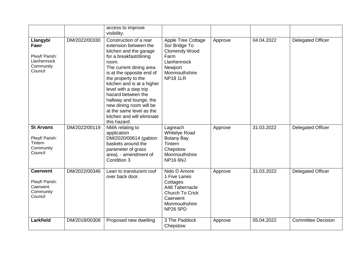|                                                                           |               | access to improve<br>visibility.                                                                                                                                                                                                                                                                                                                                                                          |                                                                                                                                      |         |            |                           |
|---------------------------------------------------------------------------|---------------|-----------------------------------------------------------------------------------------------------------------------------------------------------------------------------------------------------------------------------------------------------------------------------------------------------------------------------------------------------------------------------------------------------------|--------------------------------------------------------------------------------------------------------------------------------------|---------|------------|---------------------------|
| Llangybi<br>Fawr<br>Plwyf/ Parish:<br>Llanhennock<br>Community<br>Council | DM/2022/00330 | Construction of a rear<br>extension between the<br>kitchen and the garage<br>for a breakfast/dining<br>room.<br>The current dining area<br>is at the opposite end of<br>the property to the<br>kitchen and is at a higher<br>level with a step trip<br>hazard between the<br>hallway and lounge, the<br>new dining room will be<br>at the same level as the<br>kitchen and will eliminate<br>this hazard. | Apple Tree Cottage<br>Sor Bridge To<br>Clomendy Wood<br>Farm<br>Llanhennock<br>Newport<br>Monmouthshire<br><b>NP18 1LR</b>           | Approve | 04.04.2022 | <b>Delegated Officer</b>  |
| <b>St Arvans</b><br>Plwyf/ Parish:<br>Tintern<br>Community<br>Council     | DM/2022/00119 | NMA relating to<br>application<br>DM/2020/00614 (gabion<br>baskets around the<br>parameter of grass<br>area). - amendment of<br>Condition 3                                                                                                                                                                                                                                                               | Lagreach<br><b>Whitelye Road</b><br><b>Botany Bay</b><br>Tintern<br>Chepstow<br>Monmouthshire<br><b>NP16 6NJ</b>                     | Approve | 31.03.2022 | <b>Delegated Officer</b>  |
| <b>Caerwent</b><br>Plwyf/ Parish:<br>Caerwent<br>Community<br>Council     | DM/2022/00346 | Lean to translucent roof<br>over back door.                                                                                                                                                                                                                                                                                                                                                               | Nido D Amore<br>1 Five Lanes<br>Cottages<br>A48 Tabernacle<br><b>Church To Crick</b><br>Caerwent<br>Monmouthshire<br><b>NP26 5PD</b> | Approve | 31.03.2022 | <b>Delegated Officer</b>  |
| <b>Larkfield</b>                                                          | DM/2018/00308 | Proposed new dwelling                                                                                                                                                                                                                                                                                                                                                                                     | 3 The Paddock<br>Chepstow                                                                                                            | Approve | 05.04.2022 | <b>Committee Decision</b> |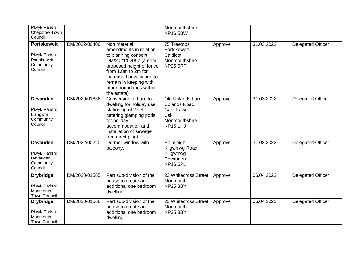| Plwyf/ Parish:<br>Chepstow Town<br>Council                                  |               |                                                                                                                                                                                                                                          | Monmouthshire<br><b>NP16 5BW</b>                                                                              |         |            |                          |
|-----------------------------------------------------------------------------|---------------|------------------------------------------------------------------------------------------------------------------------------------------------------------------------------------------------------------------------------------------|---------------------------------------------------------------------------------------------------------------|---------|------------|--------------------------|
| <b>Portskewett</b><br>Plwyf/ Parish:<br>Portskewett<br>Community<br>Council | DM/2022/00406 | Non material<br>amendments in relation<br>to planning consent<br>DM/2021/02057 (amend<br>proposed height of fence<br>from 1.8m to 2m for<br>increased privacy and to<br>remain in keeping with<br>other boundaries within<br>the estate) | 75 Treetops<br>Portskewett<br>Caldicot<br>Monmouthshire<br><b>NP26 5RT</b>                                    | Approve | 31.03.2022 | <b>Delegated Officer</b> |
| <b>Devauden</b><br>Plwyf/ Parish:<br>Llangwm<br>Community<br>Council        | DM/2020/01836 | Conversion of barn to<br>dwelling for holiday use,<br>stationing of 2 self-<br>catering glamping pods<br>for holiday<br>accommodation and<br>installation of sewage<br>treatment plant.                                                  | Old Uplands Farm<br><b>Uplands Road</b><br><b>Gaer Fawr</b><br><b>Usk</b><br>Monmouthshire<br><b>NP15 1HJ</b> | Approve | 31.03.2022 | Delegated Officer        |
| <b>Devauden</b><br>Plwyf/ Parish:<br>Devauden<br>Community<br>Council       | DM/2022/00220 | Dormer window with<br>balcony.                                                                                                                                                                                                           | Holmleigh<br>Kilgwrrwg Road<br>Killgwrrwg<br>Devauden<br><b>NP16 6PL</b>                                      | Approve | 31.03.2022 | <b>Delegated Officer</b> |
| <b>Drybridge</b><br>Plwyf/ Parish:<br>Monmouth<br><b>Town Council</b>       | DM/2020/01565 | Part sub-division of the<br>house to create an<br>additional one bedroom<br>dwelling.                                                                                                                                                    | 23 Whitecross Street<br>Monmouth<br><b>NP25 3BY</b>                                                           | Approve | 06.04.2022 | <b>Delegated Officer</b> |
| <b>Drybridge</b><br>Plwyf/ Parish:<br>Monmouth<br><b>Town Council</b>       | DM/2020/01566 | Part sub-division of the<br>house to create an<br>additional one bedroom<br>dwelling.                                                                                                                                                    | 23 Whitecross Street<br>Monmouth<br><b>NP25 3BY</b>                                                           | Approve | 06.04.2022 | <b>Delegated Officer</b> |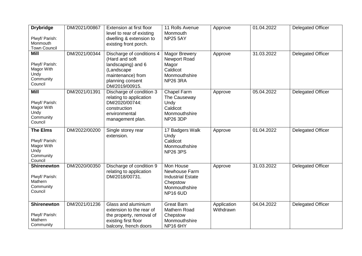| <b>Drybridge</b><br>Plwyf/ Parish:<br>Monmouth<br><b>Town Council</b>           | DM/2021/00867 | Extension at first floor<br>level to rear of existing<br>dwelling & extension to<br>existing front porch.                                  | 11 Rolls Avenue<br>Monmouth<br><b>NP25 5AY</b>                                                         | Approve                  | 01.04.2022 | <b>Delegated Officer</b> |
|---------------------------------------------------------------------------------|---------------|--------------------------------------------------------------------------------------------------------------------------------------------|--------------------------------------------------------------------------------------------------------|--------------------------|------------|--------------------------|
| <b>Mill</b><br>Plwyf/ Parish:<br>Magor With<br>Undy<br>Community<br>Council     | DM/2021/00344 | Discharge of conditions 4<br>(Hard and soft<br>landscaping) and 6<br>(Landscape<br>maintenance) from<br>planning consent<br>DM/2019/00915. | <b>Magor Brewery</b><br>Newport Road<br>Magor<br>Caldicot<br>Monmouthshire<br><b>NP26 3RA</b>          | Approve                  | 31.03.2022 | <b>Delegated Officer</b> |
| <b>Mill</b><br>Plwyf/ Parish:<br>Magor With<br>Undy<br>Community<br>Council     | DM/2021/01391 | Discharge of condition 3<br>relating to application<br>DM/2020/00744:<br>construction<br>environmental<br>management plan.                 | Chapel Farm<br>The Causeway<br>Undy<br>Caldicot<br>Monmouthshire<br><b>NP26 3DP</b>                    | Approve                  | 05.04.2022 | <b>Delegated Officer</b> |
| <b>The Elms</b><br>Plwyf/ Parish:<br>Magor With<br>Undy<br>Community<br>Council | DM/2022/00200 | Single storey rear<br>extension.                                                                                                           | 17 Badgers Walk<br>Undy<br>Caldicot<br>Monmouthshire<br><b>NP26 3PS</b>                                | Approve                  | 01.04.2022 | <b>Delegated Officer</b> |
| <b>Shirenewton</b><br>Plwyf/ Parish:<br>Mathern<br>Community<br>Council         | DM/2020/00350 | Discharge of condition 9<br>relating to application<br>DM/2018/00731.                                                                      | Mon House<br>Newhouse Farm<br><b>Industrial Estate</b><br>Chepstow<br>Monmouthshire<br><b>NP16 6UD</b> | Approve                  | 31.03.2022 | <b>Delegated Officer</b> |
| <b>Shirenewton</b><br>Plwyf/ Parish:<br>Mathern<br>Community                    | DM/2021/01236 | Glass and aluminium<br>extension to the rear of<br>the property, removal of<br>existing first floor<br>balcony, french doors               | <b>Great Barn</b><br>Mathern Road<br>Chepstow<br>Monmouthshire<br><b>NP16 6HY</b>                      | Application<br>Withdrawn | 04.04.2022 | <b>Delegated Officer</b> |